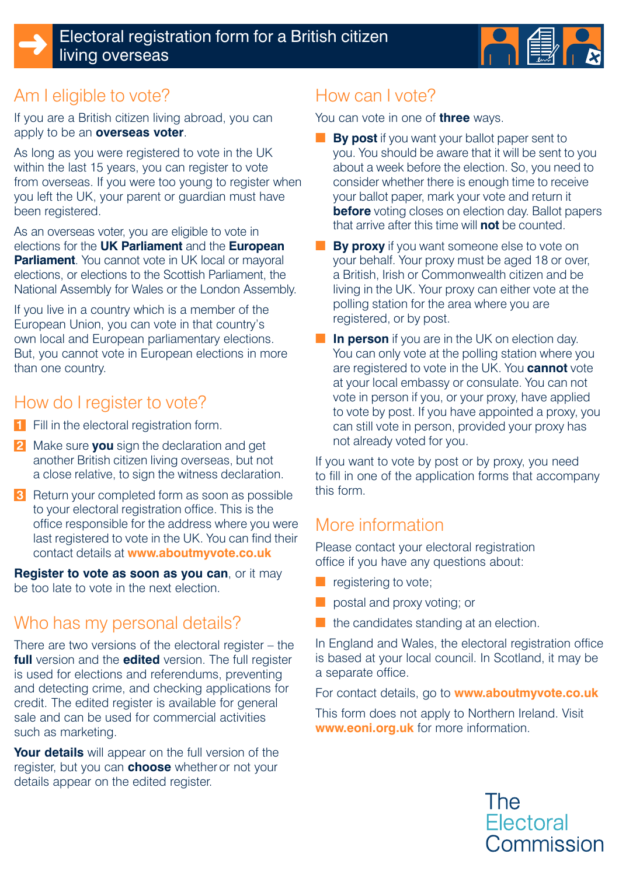



# Am I eligible to vote?

If you are a British citizen living abroad, you can apply to be an **overseas voter**.

As long as you were registered to vote in the UK within the last 15 years, you can register to vote from overseas. If you were too young to register when you left the UK, your parent or guardian must have been registered.

As an overseas voter, you are eligible to vote in elections for the **UK Parliament** and the **European Parliament**. You cannot vote in UK local or mayoral elections, or elections to the Scottish Parliament, the National Assembly for Wales or the London Assembly.

If you live in a country which is a member of the European Union, you can vote in that country's own local and European parliamentary elections. But, you cannot vote in European elections in more than one country.

# How do I register to vote?

- **1** Fill in the electoral registration form.
- **2** Make sure **you** sign the declaration and get another British citizen living overseas, but not a close relative, to sign the witness declaration.
- **3** Return your completed form as soon as possible to your electoral registration office. This is the office responsible for the address where you were last registered to vote in the UK. You can find their contact details at **www.aboutmyvote.co.uk**

**Register to vote as soon as you can**, or it may be too late to vote in the next election.

# Who has my personal details?

There are two versions of the electoral register – the **full** version and the **edited** version. The full register is used for elections and referendums, preventing and detecting crime, and checking applications for credit. The edited register is available for general sale and can be used for commercial activities such as marketing.

**Your details** will appear on the full version of the register, but you can **choose** whether or not your details appear on the edited register.

# How can I vote?

You can vote in one of **three** ways.

- **By post** if you want your ballot paper sent to you. You should be aware that it will be sent to you about a week before the election. So, you need to consider whether there is enough time to receive your ballot paper, mark your vote and return it **before** voting closes on election day. Ballot papers that arrive after this time will **not** be counted.
- **By proxy** if you want someone else to vote on your behalf. Your proxy must be aged 18 or over, a British, Irish or Commonwealth citizen and be living in the UK. Your proxy can either vote at the polling station for the area where you are registered, or by post.
- **In person** if you are in the UK on election day. You can only vote at the polling station where you are registered to vote in the UK. You **cannot** vote at your local embassy or consulate. You can not vote in person if you, or your proxy, have applied to vote by post. If you have appointed a proxy, you can still vote in person, provided your proxy has not already voted for you.

If you want to vote by post or by proxy, you need to fill in one of the application forms that accompany this form.

# More information

Please contact your electoral registration office if you have any questions about:

- registering to vote;
- postal and proxy voting; or
- the candidates standing at an election.

In England and Wales, the electoral registration office is based at your local council. In Scotland, it may be a separate office.

For contact details, go to **www.aboutmyvote.co.uk**

This form does not apply to Northern Ireland. Visit **www.eoni.org.uk** for more information.

> The **Electoral** Commission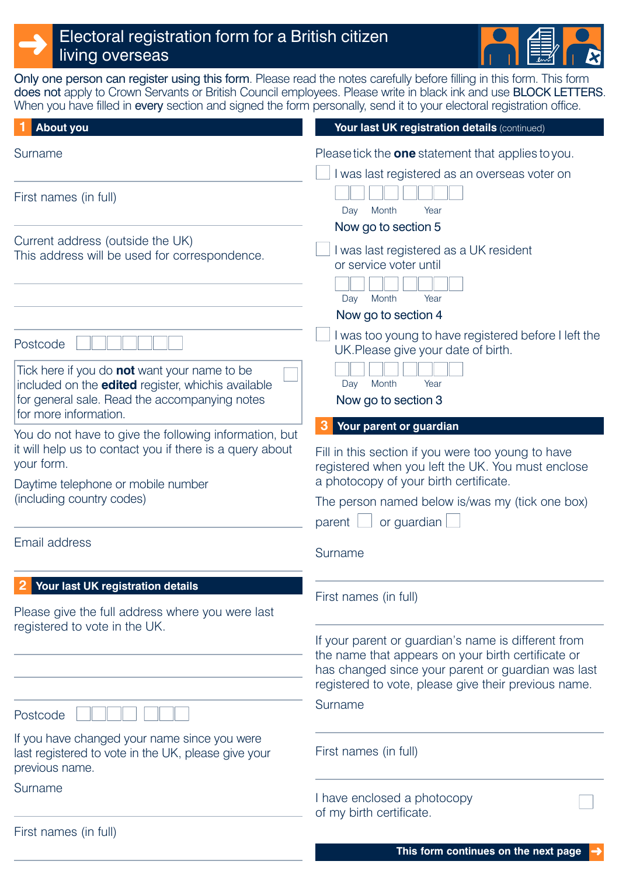# Electoral registration form for a British citizen living overseas



Only one person can register using this form. Please read the notes carefully before filling in this form. This form does not apply to Crown Servants or British Council employees. Please write in black ink and use BLOCK LETTERS. When you have filled in every section and signed the form personally, send it to your electoral registration office.

| <b>About you</b>                                                                                                                                                                           | Your last UK registration details (continued)                                                                                                                                                                           |
|--------------------------------------------------------------------------------------------------------------------------------------------------------------------------------------------|-------------------------------------------------------------------------------------------------------------------------------------------------------------------------------------------------------------------------|
| Surname                                                                                                                                                                                    | Please tick the <b>one</b> statement that applies to you.<br>I was last registered as an overseas voter on                                                                                                              |
| First names (in full)                                                                                                                                                                      | Month<br>Year<br>Day                                                                                                                                                                                                    |
| Current address (outside the UK)                                                                                                                                                           | Now go to section 5                                                                                                                                                                                                     |
| This address will be used for correspondence.                                                                                                                                              | I was last registered as a UK resident<br>or service voter until<br>Month<br>Year<br>Day                                                                                                                                |
|                                                                                                                                                                                            | Now go to section 4                                                                                                                                                                                                     |
| Postcode                                                                                                                                                                                   | I was too young to have registered before I left the<br>UK. Please give your date of birth.                                                                                                                             |
| Tick here if you do <b>not</b> want your name to be<br>included on the <b>edited</b> register, whichis available<br>for general sale. Read the accompanying notes<br>for more information. | Year<br>Month<br>Day<br>Now go to section 3                                                                                                                                                                             |
| You do not have to give the following information, but                                                                                                                                     | Your parent or guardian                                                                                                                                                                                                 |
| it will help us to contact you if there is a query about<br>your form.                                                                                                                     | Fill in this section if you were too young to have<br>registered when you left the UK. You must enclose                                                                                                                 |
| Daytime telephone or mobile number                                                                                                                                                         | a photocopy of your birth certificate.                                                                                                                                                                                  |
| (including country codes)                                                                                                                                                                  | The person named below is/was my (tick one box)                                                                                                                                                                         |
|                                                                                                                                                                                            | or guardian<br>parent                                                                                                                                                                                                   |
| Email address                                                                                                                                                                              | Surname                                                                                                                                                                                                                 |
| Your last UK registration details                                                                                                                                                          | First names (in full)                                                                                                                                                                                                   |
| Please give the full address where you were last                                                                                                                                           |                                                                                                                                                                                                                         |
| registered to vote in the UK.                                                                                                                                                              | If your parent or guardian's name is different from<br>the name that appears on your birth certificate or<br>has changed since your parent or guardian was last<br>registered to vote, please give their previous name. |
| Postcode                                                                                                                                                                                   | Surname                                                                                                                                                                                                                 |
| If you have changed your name since you were<br>last registered to vote in the UK, please give your<br>previous name.                                                                      | First names (in full)                                                                                                                                                                                                   |
| Surname                                                                                                                                                                                    | I have enclosed a photocopy<br>of my birth certificate.                                                                                                                                                                 |
| First names (in full)                                                                                                                                                                      |                                                                                                                                                                                                                         |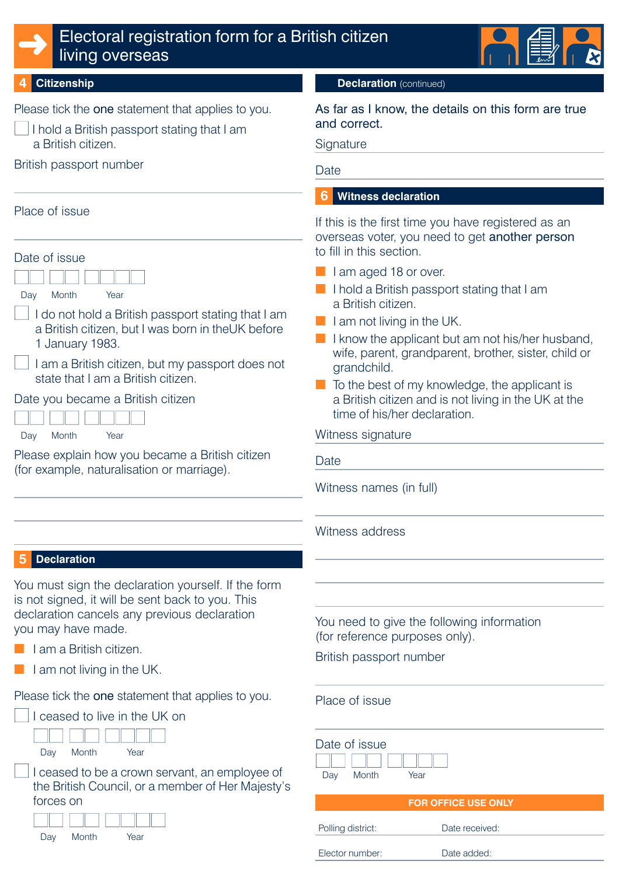

### ➜ Electoral registration form for a British citizen living overseas



#### **Citizenship**

Please tick the one statement that applies to you.

- $\Box$  I hold a British passport stating that I am a British citizen.
- British passport number

#### Place of issue

| Date of issue                                                                                                              |
|----------------------------------------------------------------------------------------------------------------------------|
|                                                                                                                            |
| Month<br>Year<br>Day                                                                                                       |
| I do not hold a British passport stating that I am<br>a British citizen, but I was born in theUK before<br>1 January 1983. |
| I am a British citizen, but my passport does not<br>state that I am a British citizen.                                     |
| Date you became a British citizen                                                                                          |
|                                                                                                                            |
| Month<br>Year<br>Dav                                                                                                       |

Please explain how you became a British citizen (for example, naturalisation or marriage).

#### **Declaration** (continued)

As far as I know, the details on this form are true and correct.

**Signature** 

**Date** 

#### **Witness declaration 6**

If this is the first time you have registered as an overseas voter, you need to get another person to fill in this section.

- I am aged 18 or over.
- I hold a British passport stating that I am a British citizen.
- $\blacksquare$  I am not living in the UK.
- I know the applicant but am not his/her husband, wife, parent, grandparent, brother, sister, child or grandchild.
- To the best of my knowledge, the applicant is a British citizen and is not living in the UK at the time of his/her declaration.

Witness signature

Date

Witness names (in full)

Witness address

#### **Declaration 5**

You must sign the declaration yourself. If the form is not signed, it will be sent back to you. This declaration cancels any previous declaration you may have made.

- I am a British citizen.
- I am not living in the UK.

Please tick the one statement that applies to you.





I ceased to be a crown servant, an employee of the British Council, or a member of Her Majesty's forces on



You need to give the following information (for reference purposes only).

British passport number

Place of issue

| Date of issue<br>Month<br>Year<br>Day |                |
|---------------------------------------|----------------|
| <b>FOR OFFICE USE ONLY</b>            |                |
| Polling district:                     | Date received: |
| Elector number:                       | Date added:    |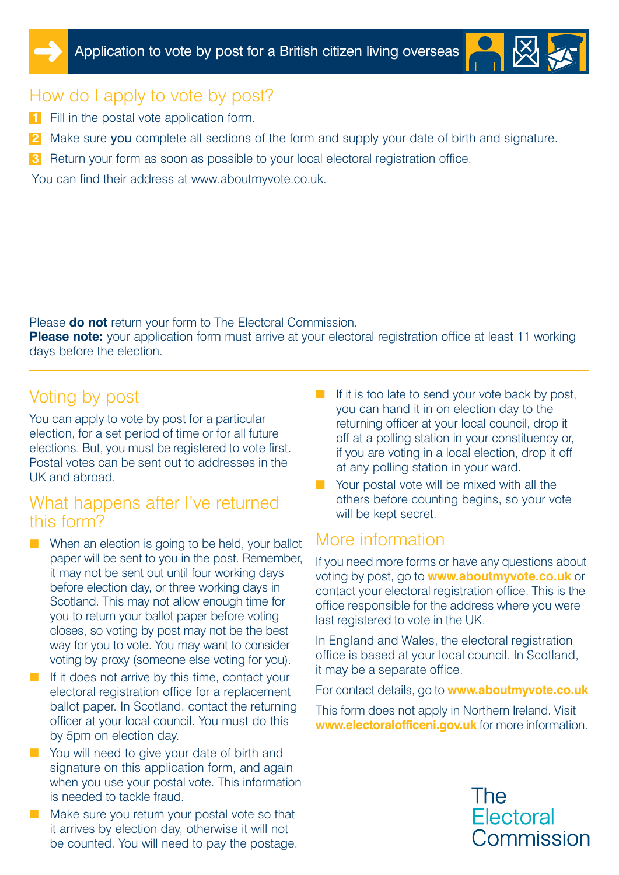



## How do I apply to vote by post?

- **1** Fill in the postal vote application form.
- **2** Make sure you complete all sections of the form and supply your date of birth and signature.
- **3** Return your form as soon as possible to your local electoral registration office.

You can find their address at www.aboutmyvote.co.uk.

Please **do not** return your form to The Electoral Commission.

**Please note:** your application form must arrive at your electoral registration office at least 11 working days before the election.

# Voting by post

You can apply to vote by post for a particular election, for a set period of time or for all future elections. But, you must be registered to vote first. Postal votes can be sent out to addresses in the UK and abroad.

#### What happens after I've returned this form?

- When an election is going to be held, your ballot paper will be sent to you in the post. Remember, it may not be sent out until four working days before election day, or three working days in Scotland. This may not allow enough time for you to return your ballot paper before voting closes, so voting by post may not be the best way for you to vote. You may want to consider voting by proxy (someone else voting for you).
- If it does not arrive by this time, contact your electoral registration office for a replacement ballot paper. In Scotland, contact the returning officer at your local council. You must do this by 5pm on election day.
- You will need to give your date of birth and signature on this application form, and again when you use your postal vote. This information is needed to tackle fraud.
- Make sure you return your postal vote so that it arrives by election day, otherwise it will not be counted. You will need to pay the postage.
- If it is too late to send your vote back by post, you can hand it in on election day to the returning officer at your local council, drop it off at a polling station in your constituency or, if you are voting in a local election, drop it off at any polling station in your ward.
- Your postal vote will be mixed with all the others before counting begins, so your vote will be kept secret.

# More information

If you need more forms or have any questions about voting by post, go to **www.aboutmyvote.co.uk** or contact your electoral registration office. This is the office responsible for the address where you were last registered to vote in the UK.

In England and Wales, the electoral registration office is based at your local council. In Scotland, it may be a separate office.

For contact details, go to **www.aboutmyvote.co.uk**

This form does not apply in Northern Ireland. Visit **www.electoralofficeni.gov.uk** for more information.

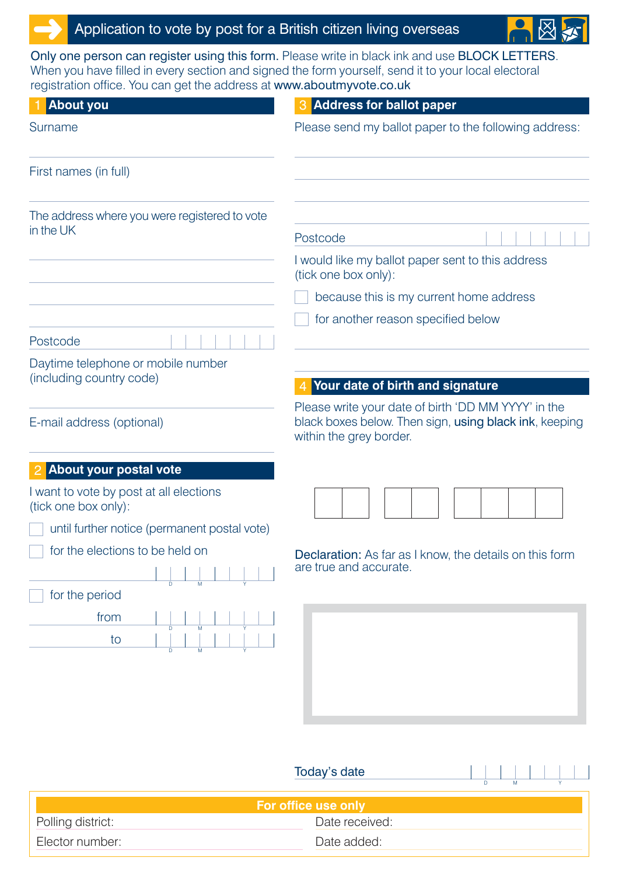## Application to vote by post for a British citizen living overseas

Only one person can register using this form. Please write in black ink and use BLOCK LETTERS. When you have filled in every section and signed the form yourself, send it to your local electoral registration office. You can get the address at www.aboutmyvote.co.uk

| ogionanon omoo. Tod odin got the address at www.aboutinyvoto.co.ah<br><b>About you</b> | 3 Address for ballot paper                                                                                                               |
|----------------------------------------------------------------------------------------|------------------------------------------------------------------------------------------------------------------------------------------|
| Surname                                                                                | Please send my ballot paper to the following address:                                                                                    |
| First names (in full)                                                                  |                                                                                                                                          |
| The address where you were registered to vote<br>in the UK                             | Postcode<br>I would like my ballot paper sent to this address<br>(tick one box only):<br>because this is my current home address         |
|                                                                                        | for another reason specified below                                                                                                       |
| Postcode                                                                               |                                                                                                                                          |
| Daytime telephone or mobile number<br>(including country code)                         | Your date of birth and signature                                                                                                         |
| E-mail address (optional)                                                              | Please write your date of birth 'DD MM YYYY' in the<br>black boxes below. Then sign, using black ink, keeping<br>within the grey border. |
| About your postal vote                                                                 |                                                                                                                                          |
| I want to vote by post at all elections<br>(tick one box only):                        |                                                                                                                                          |
| until further notice (permanent postal vote)                                           |                                                                                                                                          |
| for the elections to be held on<br>for the period                                      | Declaration: As far as I know, the details on this form<br>are true and accurate.                                                        |
| from<br>to                                                                             |                                                                                                                                          |
|                                                                                        | Today's date<br>$\overline{D}$<br>M                                                                                                      |

| <b>For office use only</b> |                |  |
|----------------------------|----------------|--|
| Polling district:          | Date received: |  |
| Elector number:            | Date added:    |  |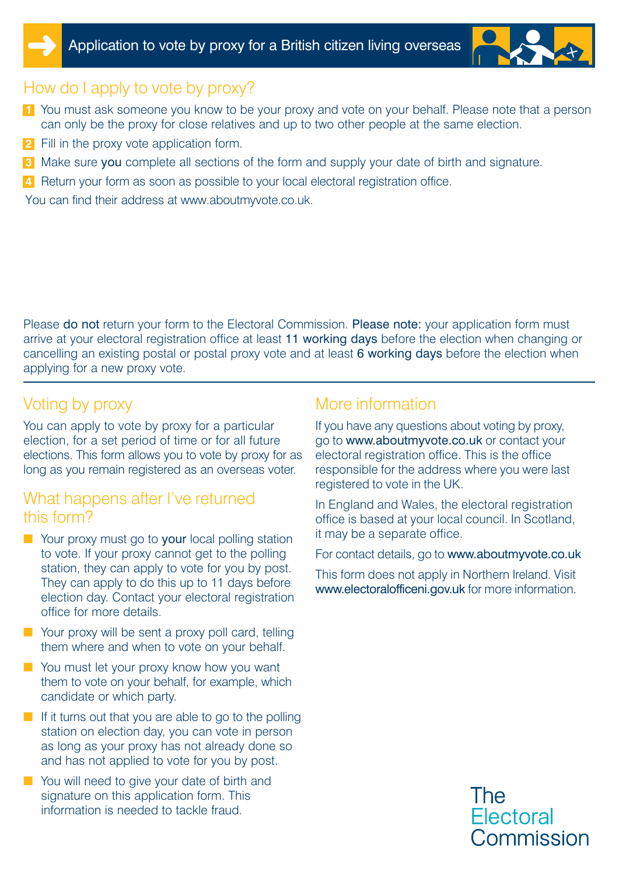



## How do I apply to vote by proxy?

- **1** You must ask someone you know to be your proxy and vote on your behalf. Please note that a person can only be the proxy for close relatives and up to two other people at the same election.
- **2** Fill in the proxy vote application form.
- **3** Make sure you complete all sections of the form and supply your date of birth and signature.
- **4** Return your form as soon as possible to your local electoral registration office.

You can find their address at www.aboutmyvote.co.uk.

Please do not return your form to the Electoral Commission. Please note: your application form must arrive at your electoral registration office at least 11 working days before the election when changing or cancelling an existing postal or postal proxy vote and at least 6 working days before the election when applying for a new proxy vote.

### Voting by proxy

You can apply to vote by proxy for a particular election, for a set period of time or for all future elections. This form allows you to vote by proxy for as long as you remain registered as an overseas voter.

#### What happens after I've returned this form?

- Your proxy must go to your local polling station to vote. If your proxy cannot get to the polling station, they can apply to vote for you by post. They can apply to do this up to 11 days before election day. Contact your electoral registration office for more details.
- Your proxy will be sent a proxy poll card, telling them where and when to vote on your behalf.
- You must let your proxy know how you want them to vote on your behalf, for example, which candidate or which party.
- If it turns out that you are able to go to the polling station on election day, you can vote in person as long as your proxy has not already done so and has not applied to vote for you by post.
- You will need to give your date of birth and signature on this application form. This information is needed to tackle fraud.

#### More information

If you have any questions about voting by proxy, go to www.aboutmyvote.co.uk or contact your electoral registration office. This is the office responsible for the address where you were last registered to vote in the UK.

In England and Wales, the electoral registration office is based at your local council. In Scotland, it may be a separate office.

For contact details, go to www.aboutmyvote.co.uk

This form does not apply in Northern Ireland. Visit www.electoralofficeni.gov.uk for more information.

> The **Electoral** Commission